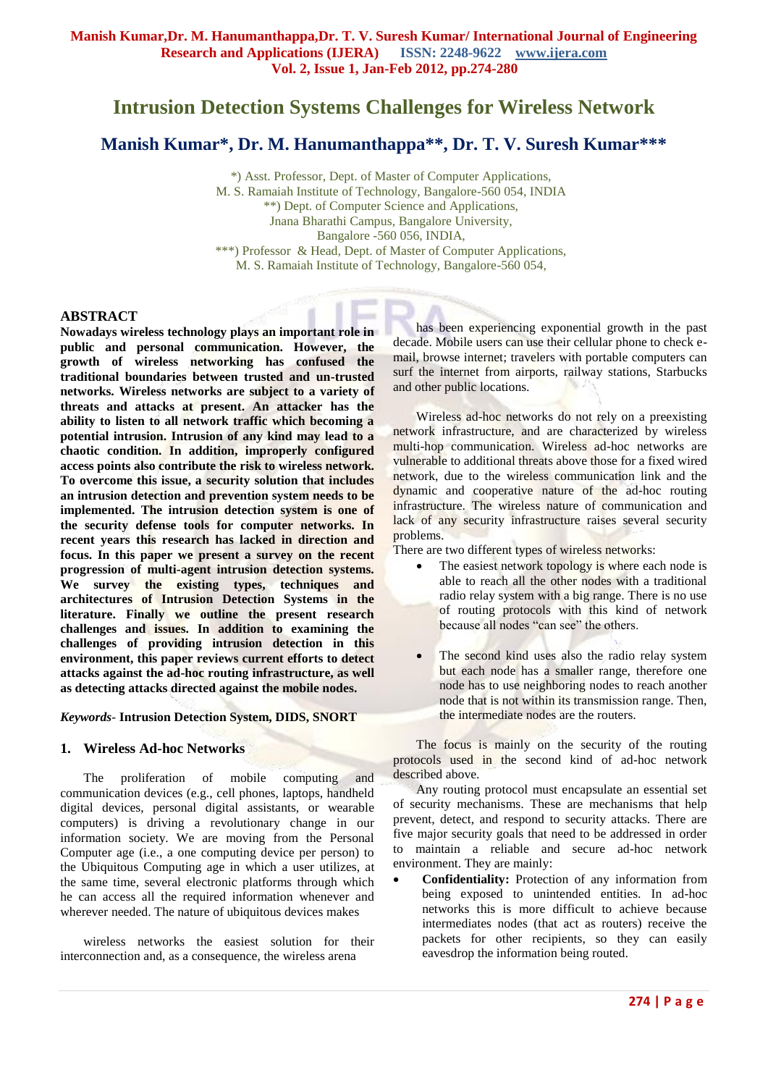# **Intrusion Detection Systems Challenges for Wireless Network**

**Manish Kumar\*, Dr. M. Hanumanthappa\*\*, Dr. T. V. Suresh Kumar\*\*\***

\*) Asst. Professor, Dept. of Master of Computer Applications, M. S. Ramaiah Institute of Technology, Bangalore-560 054, INDIA \*\*) Dept. of Computer Science and Applications, Jnana Bharathi Campus, Bangalore University, Bangalore -560 056, INDIA, \*\*\*) Professor & Head, Dept. of Master of Computer Applications, M. S. Ramaiah Institute of Technology, Bangalore-560 054,

# **ABSTRACT**

**Nowadays wireless technology plays an important role in public and personal communication. However, the growth of wireless networking has confused the traditional boundaries between trusted and un-trusted networks. Wireless networks are subject to a variety of threats and attacks at present. An attacker has the ability to listen to all network traffic which becoming a potential intrusion. Intrusion of any kind may lead to a chaotic condition. In addition, improperly configured access points also contribute the risk to wireless network. To overcome this issue, a security solution that includes an intrusion detection and prevention system needs to be implemented. The intrusion detection system is one of the security defense tools for computer networks. In recent years this research has lacked in direction and focus. In this paper we present a survey on the recent progression of multi-agent intrusion detection systems. We survey the existing types, techniques and architectures of Intrusion Detection Systems in the literature. Finally we outline the present research challenges and issues. In addition to examining the challenges of providing intrusion detection in this environment, this paper reviews current efforts to detect attacks against the ad-hoc routing infrastructure, as well as detecting attacks directed against the mobile nodes.**

# *Keywords-* **Intrusion Detection System, DIDS, SNORT**

# **1. Wireless Ad-hoc Networks**

The proliferation of mobile computing and communication devices (e.g., cell phones, laptops, handheld digital devices, personal digital assistants, or wearable computers) is driving a revolutionary change in our information society. We are moving from the Personal Computer age (i.e., a one computing device per person) to the Ubiquitous Computing age in which a user utilizes, at the same time, several electronic platforms through which he can access all the required information whenever and wherever needed. The nature of ubiquitous devices makes

wireless networks the easiest solution for their interconnection and, as a consequence, the wireless arena

has been experiencing exponential growth in the past decade. Mobile users can use their cellular phone to check email, browse internet; travelers with portable computers can surf the internet from airports, railway stations, Starbucks and other public locations.

Wireless ad-hoc networks do not rely on a preexisting network infrastructure, and are characterized by wireless multi-hop communication. Wireless ad-hoc networks are vulnerable to additional threats above those for a fixed wired network, due to the wireless communication link and the dynamic and cooperative nature of the ad-hoc routing infrastructure. The wireless nature of communication and lack of any security infrastructure raises several security problems.

There are two different types of wireless networks:

- The easiest network topology is where each node is able to reach all the other nodes with a traditional radio relay system with a big range. There is no use of routing protocols with this kind of network because all nodes "can see" the others.
- The second kind uses also the radio relay system but each node has a smaller range, therefore one node has to use neighboring nodes to reach another node that is not within its transmission range. Then, the intermediate nodes are the routers.

The focus is mainly on the security of the routing protocols used in the second kind of ad-hoc network described above.

Any routing protocol must encapsulate an essential set of security mechanisms. These are mechanisms that help prevent, detect, and respond to security attacks. There are five major security goals that need to be addressed in order to maintain a reliable and secure ad-hoc network environment. They are mainly:

 **Confidentiality:** Protection of any information from being exposed to unintended entities. In ad-hoc networks this is more difficult to achieve because intermediates nodes (that act as routers) receive the packets for other recipients, so they can easily eavesdrop the information being routed.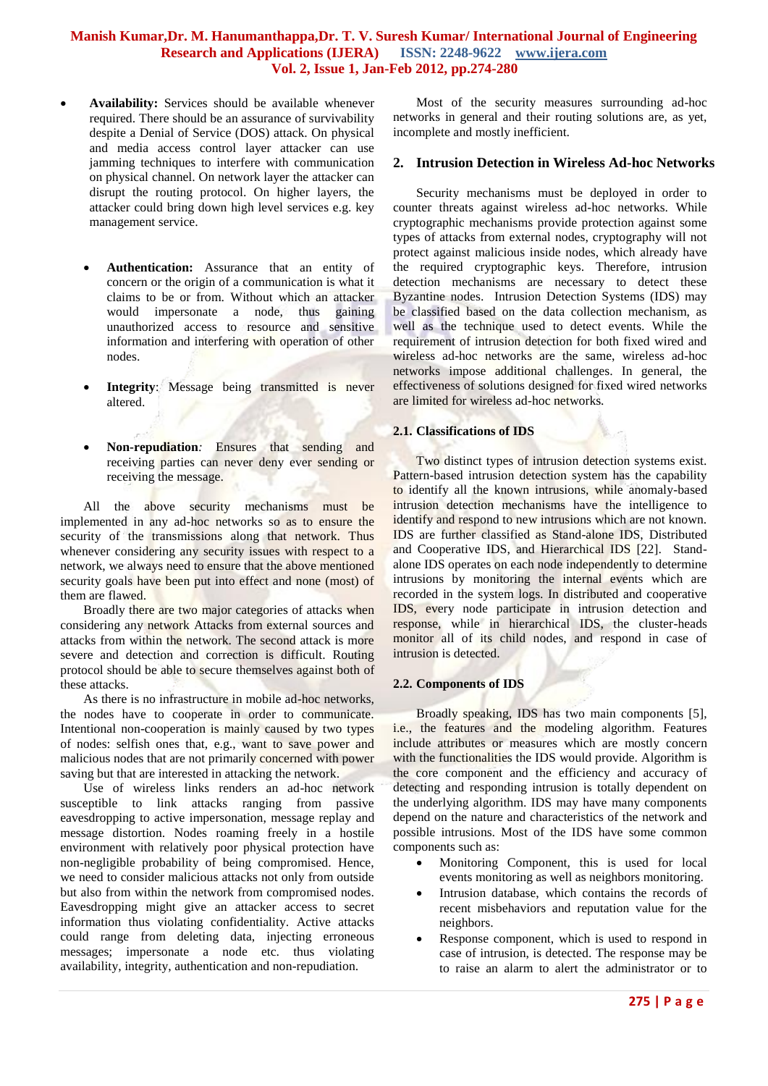# **Manish Kumar,Dr. M. Hanumanthappa,Dr. T. V. Suresh Kumar/ International Journal of Engineering Research and Applications (IJERA) Vol. 2, Issue 1, Jan-Feb 2012, pp.274-280**

- **Availability:** Services should be available whenever required. There should be an assurance of survivability despite a Denial of Service (DOS) attack. On physical and media access control layer attacker can use jamming techniques to interfere with communication on physical channel. On network layer the attacker can disrupt the routing protocol. On higher layers, the attacker could bring down high level services e.g. key management service.
	- **Authentication:** Assurance that an entity of concern or the origin of a communication is what it claims to be or from. Without which an attacker would impersonate a node, thus gaining unauthorized access to resource and sensitive information and interfering with operation of other nodes.
	- **Integrity**: Message being transmitted is never altered.
	- **Non-repudiation***:* Ensures that sending and receiving parties can never deny ever sending or receiving the message.

All the above security mechanisms must be implemented in any ad-hoc networks so as to ensure the security of the transmissions along that network. Thus whenever considering any security issues with respect to a network, we always need to ensure that the above mentioned security goals have been put into effect and none (most) of them are flawed.

Broadly there are two major categories of attacks when considering any network Attacks from external sources and attacks from within the network. The second attack is more severe and detection and correction is difficult. Routing protocol should be able to secure themselves against both of these attacks.

As there is no infrastructure in mobile ad-hoc networks, the nodes have to cooperate in order to communicate. Intentional non-cooperation is mainly caused by two types of nodes: selfish ones that, e.g., want to save power and malicious nodes that are not primarily concerned with power saving but that are interested in attacking the network.

Use of wireless links renders an ad-hoc network susceptible to link attacks ranging from passive eavesdropping to active impersonation, message replay and message distortion. Nodes roaming freely in a hostile environment with relatively poor physical protection have non-negligible probability of being compromised. Hence, we need to consider malicious attacks not only from outside but also from within the network from compromised nodes. Eavesdropping might give an attacker access to secret information thus violating confidentiality. Active attacks could range from deleting data, injecting erroneous messages; impersonate a node etc. thus violating availability, integrity, authentication and non-repudiation.

Most of the security measures surrounding ad-hoc networks in general and their routing solutions are, as yet, incomplete and mostly inefficient.

# **2. Intrusion Detection in Wireless Ad-hoc Networks**

Security mechanisms must be deployed in order to counter threats against wireless ad-hoc networks. While cryptographic mechanisms provide protection against some types of attacks from external nodes, cryptography will not protect against malicious inside nodes, which already have the required cryptographic keys. Therefore, intrusion detection mechanisms are necessary to detect these Byzantine nodes. Intrusion Detection Systems (IDS) may be classified based on the data collection mechanism, as well as the technique used to detect events. While the requirement of intrusion detection for both fixed wired and wireless ad-hoc networks are the same, wireless ad-hoc networks impose additional challenges. In general, the effectiveness of solutions designed for fixed wired networks are limited for wireless ad-hoc networks.

# **2.1. Classifications of IDS**

Two distinct types of intrusion detection systems exist. Pattern-based intrusion detection system has the capability to identify all the known intrusions, while anomaly-based intrusion detection mechanisms have the intelligence to identify and respond to new intrusions which are not known. IDS are further classified as Stand-alone IDS, Distributed and Cooperative IDS, and Hierarchical IDS [22]. Standalone IDS operates on each node independently to determine intrusions by monitoring the internal events which are recorded in the system logs. In distributed and cooperative IDS, every node participate in intrusion detection and response, while in hierarchical IDS, the cluster-heads monitor all of its child nodes, and respond in case of intrusion is detected.

# **2.2. Components of IDS**

Broadly speaking, IDS has two main components [5], i.e., the features and the modeling algorithm. Features include attributes or measures which are mostly concern with the functionalities the IDS would provide. Algorithm is the core component and the efficiency and accuracy of detecting and responding intrusion is totally dependent on the underlying algorithm. IDS may have many components depend on the nature and characteristics of the network and possible intrusions. Most of the IDS have some common components such as:

- Monitoring Component, this is used for local events monitoring as well as neighbors monitoring.
- Intrusion database, which contains the records of recent misbehaviors and reputation value for the neighbors.
- Response component, which is used to respond in case of intrusion, is detected. The response may be to raise an alarm to alert the administrator or to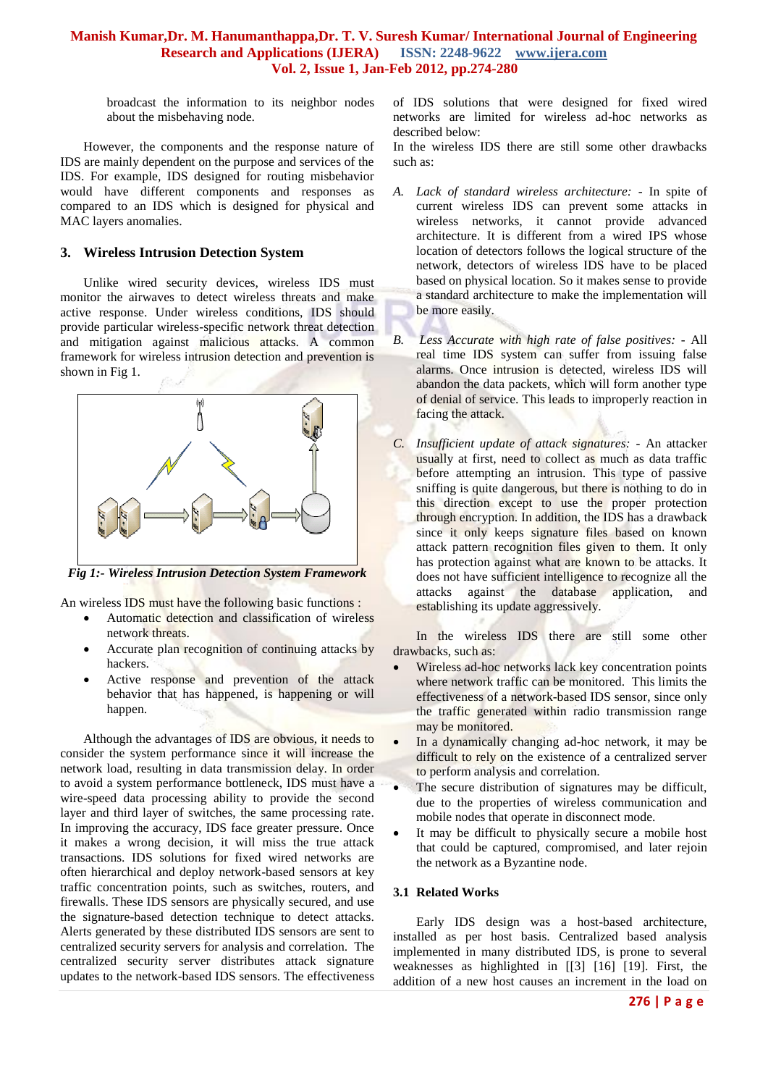# **Manish Kumar,Dr. M. Hanumanthappa,Dr. T. V. Suresh Kumar/ International Journal of Engineering Research and Applications (IJERA) Vol. 2, Issue 1, Jan-Feb 2012, pp.274-280**

broadcast the information to its neighbor nodes about the misbehaving node.

However, the components and the response nature of IDS are mainly dependent on the purpose and services of the IDS. For example, IDS designed for routing misbehavior would have different components and responses as compared to an IDS which is designed for physical and MAC layers anomalies.

#### **3. Wireless Intrusion Detection System**

Unlike wired security devices, wireless IDS must monitor the airwaves to detect wireless threats and make active response. Under wireless conditions, IDS should provide particular wireless-specific network threat detection and mitigation against malicious attacks. A common framework for wireless intrusion detection and prevention is shown in Fig 1.



*Fig 1:- Wireless Intrusion Detection System Framework*

An wireless IDS must have the following basic functions :

- Automatic detection and classification of wireless network threats.
- Accurate plan recognition of continuing attacks by hackers.
- Active response and prevention of the attack behavior that has happened, is happening or will happen.

Although the advantages of IDS are obvious, it needs to consider the system performance since it will increase the network load, resulting in data transmission delay. In order to avoid a system performance bottleneck, IDS must have a wire-speed data processing ability to provide the second layer and third layer of switches, the same processing rate. In improving the accuracy, IDS face greater pressure. Once it makes a wrong decision, it will miss the true attack transactions. IDS solutions for fixed wired networks are often hierarchical and deploy network-based sensors at key traffic concentration points, such as switches, routers, and firewalls. These IDS sensors are physically secured, and use the signature-based detection technique to detect attacks. Alerts generated by these distributed IDS sensors are sent to centralized security servers for analysis and correlation. The centralized security server distributes attack signature updates to the network-based IDS sensors. The effectiveness of IDS solutions that were designed for fixed wired networks are limited for wireless ad-hoc networks as described below:

In the wireless IDS there are still some other drawbacks such as:

- *A. Lack of standard wireless architecture: -* In spite of current wireless IDS can prevent some attacks in wireless networks, it cannot provide advanced architecture. It is different from a wired IPS whose location of detectors follows the logical structure of the network, detectors of wireless IDS have to be placed based on physical location. So it makes sense to provide a standard architecture to make the implementation will be more easily.
- *B. Less Accurate with high rate of false positives: -* All real time IDS system can suffer from issuing false alarms. Once intrusion is detected, wireless IDS will abandon the data packets, which will form another type of denial of service. This leads to improperly reaction in facing the attack.
- *C. Insufficient update of attack signatures: -* An attacker usually at first, need to collect as much as data traffic before attempting an intrusion. This type of passive sniffing is quite dangerous, but there is nothing to do in this direction except to use the proper protection through encryption. In addition, the IDS has a drawback since it only keeps signature files based on known attack pattern recognition files given to them. It only has protection against what are known to be attacks. It does not have sufficient intelligence to recognize all the attacks against the database application, and establishing its update aggressively.

In the wireless IDS there are still some other drawbacks, such as:

- Wireless ad-hoc networks lack key concentration points where network traffic can be monitored. This limits the effectiveness of a network-based IDS sensor, since only the traffic generated within radio transmission range may be monitored.
- In a dynamically changing ad-hoc network, it may be difficult to rely on the existence of a centralized server to perform analysis and correlation.
- The secure distribution of signatures may be difficult, due to the properties of wireless communication and mobile nodes that operate in disconnect mode.
- It may be difficult to physically secure a mobile host that could be captured, compromised, and later rejoin the network as a Byzantine node.

#### **3.1 Related Works**

Early IDS design was a host-based architecture, installed as per host basis. Centralized based analysis implemented in many distributed IDS, is prone to several weaknesses as highlighted in [[3] [16] [19]. First, the addition of a new host causes an increment in the load on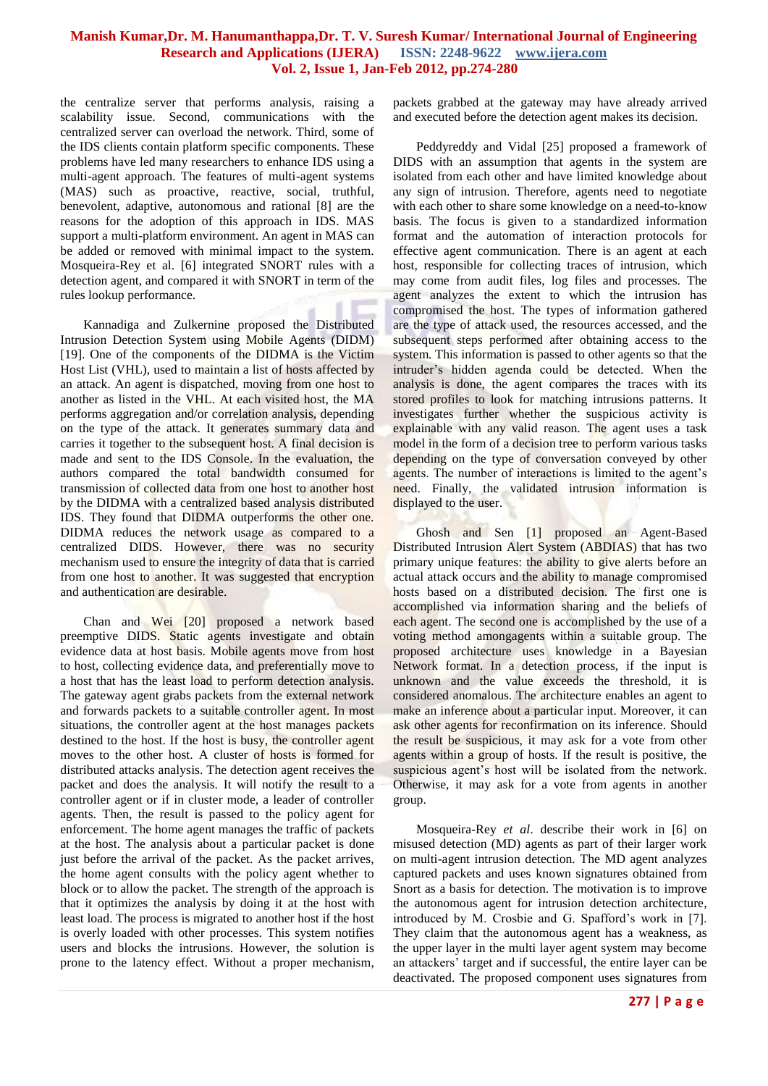# **Manish Kumar,Dr. M. Hanumanthappa,Dr. T. V. Suresh Kumar/ International Journal of Engineering Research and Applications (IJERA) ISSN: 2248-9622 www.ijera.com Vol. 2, Issue 1, Jan-Feb 2012, pp.274-280**

the centralize server that performs analysis, raising a scalability issue. Second, communications with the centralized server can overload the network. Third, some of the IDS clients contain platform specific components. These problems have led many researchers to enhance IDS using a multi-agent approach. The features of multi-agent systems (MAS) such as proactive, reactive, social, truthful, benevolent, adaptive, autonomous and rational [8] are the reasons for the adoption of this approach in IDS. MAS support a multi-platform environment. An agent in MAS can be added or removed with minimal impact to the system. Mosqueira-Rey et al. [6] integrated SNORT rules with a detection agent, and compared it with SNORT in term of the rules lookup performance.

Kannadiga and Zulkernine proposed the Distributed Intrusion Detection System using Mobile Agents (DIDM) [19]. One of the components of the DIDMA is the Victim Host List (VHL), used to maintain a list of hosts affected by an attack. An agent is dispatched, moving from one host to another as listed in the VHL. At each visited host, the MA performs aggregation and/or correlation analysis, depending on the type of the attack. It generates summary data and carries it together to the subsequent host. A final decision is made and sent to the IDS Console. In the evaluation, the authors compared the total bandwidth consumed for transmission of collected data from one host to another host by the DIDMA with a centralized based analysis distributed IDS. They found that DIDMA outperforms the other one. DIDMA reduces the network usage as compared to a centralized DIDS. However, there was no security mechanism used to ensure the integrity of data that is carried from one host to another. It was suggested that encryption and authentication are desirable.

Chan and Wei [20] proposed a network based preemptive DIDS. Static agents investigate and obtain evidence data at host basis. Mobile agents move from host to host, collecting evidence data, and preferentially move to a host that has the least load to perform detection analysis. The gateway agent grabs packets from the external network and forwards packets to a suitable controller agent. In most situations, the controller agent at the host manages packets destined to the host. If the host is busy, the controller agent moves to the other host. A cluster of hosts is formed for distributed attacks analysis. The detection agent receives the packet and does the analysis. It will notify the result to a controller agent or if in cluster mode, a leader of controller agents. Then, the result is passed to the policy agent for enforcement. The home agent manages the traffic of packets at the host. The analysis about a particular packet is done just before the arrival of the packet. As the packet arrives, the home agent consults with the policy agent whether to block or to allow the packet. The strength of the approach is that it optimizes the analysis by doing it at the host with least load. The process is migrated to another host if the host is overly loaded with other processes. This system notifies users and blocks the intrusions. However, the solution is prone to the latency effect. Without a proper mechanism, packets grabbed at the gateway may have already arrived and executed before the detection agent makes its decision.

Peddyreddy and Vidal [25] proposed a framework of DIDS with an assumption that agents in the system are isolated from each other and have limited knowledge about any sign of intrusion. Therefore, agents need to negotiate with each other to share some knowledge on a need-to-know basis. The focus is given to a standardized information format and the automation of interaction protocols for effective agent communication. There is an agent at each host, responsible for collecting traces of intrusion, which may come from audit files, log files and processes. The agent analyzes the extent to which the intrusion has compromised the host. The types of information gathered are the type of attack used, the resources accessed, and the subsequent steps performed after obtaining access to the system. This information is passed to other agents so that the intruder's hidden agenda could be detected. When the analysis is done, the agent compares the traces with its stored profiles to look for matching intrusions patterns. It investigates further whether the suspicious activity is explainable with any valid reason. The agent uses a task model in the form of a decision tree to perform various tasks depending on the type of conversation conveyed by other agents. The number of interactions is limited to the agent's need. Finally, the validated intrusion information is displayed to the user.

Ghosh and Sen [1] proposed an Agent-Based Distributed Intrusion Alert System (ABDIAS) that has two primary unique features: the ability to give alerts before an actual attack occurs and the ability to manage compromised hosts based on a distributed decision. The first one is accomplished via information sharing and the beliefs of each agent. The second one is accomplished by the use of a voting method amongagents within a suitable group. The proposed architecture uses knowledge in a Bayesian Network format. In a detection process, if the input is unknown and the value exceeds the threshold, it is considered anomalous. The architecture enables an agent to make an inference about a particular input. Moreover, it can ask other agents for reconfirmation on its inference. Should the result be suspicious, it may ask for a vote from other agents within a group of hosts. If the result is positive, the suspicious agent's host will be isolated from the network. Otherwise, it may ask for a vote from agents in another group.

Mosqueira-Rey *et al*. describe their work in [6] on misused detection (MD) agents as part of their larger work on multi-agent intrusion detection. The MD agent analyzes captured packets and uses known signatures obtained from Snort as a basis for detection. The motivation is to improve the autonomous agent for intrusion detection architecture, introduced by M. Crosbie and G. Spafford's work in [7]. They claim that the autonomous agent has a weakness, as the upper layer in the multi layer agent system may become an attackers' target and if successful, the entire layer can be deactivated. The proposed component uses signatures from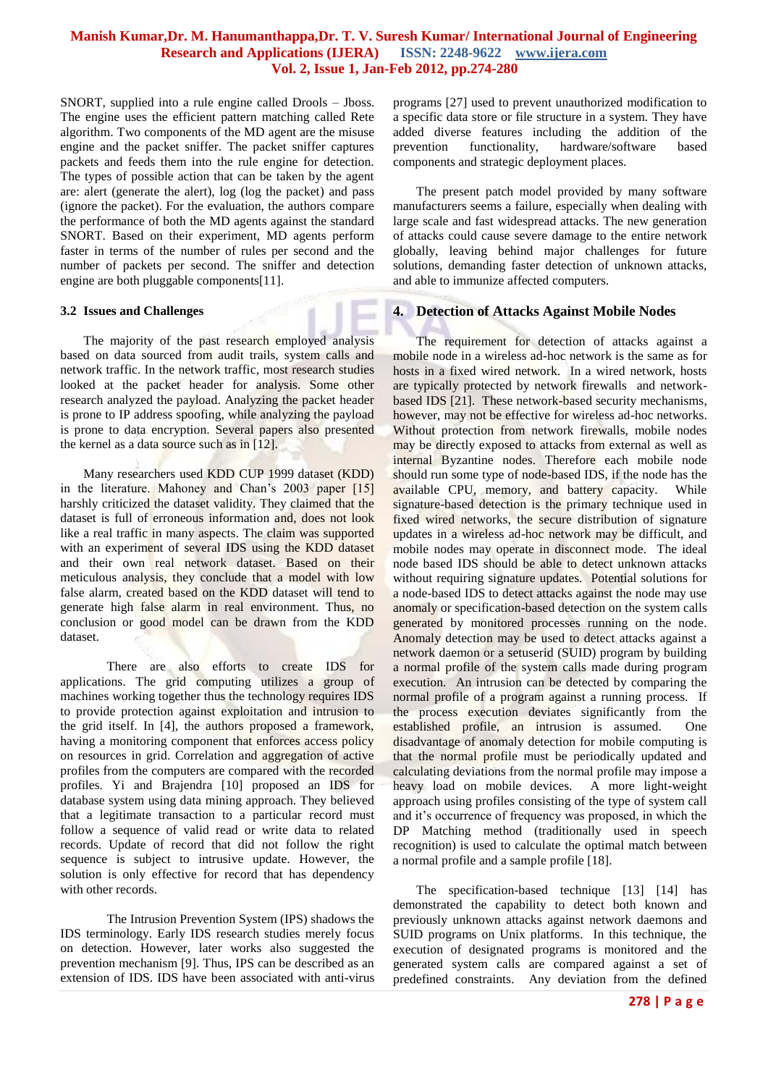# **Manish Kumar,Dr. M. Hanumanthappa,Dr. T. V. Suresh Kumar/ International Journal of Engineering Research and Applications (IJERA) ISSN: 2248-9622 www.ijera.com Vol. 2, Issue 1, Jan-Feb 2012, pp.274-280**

SNORT, supplied into a rule engine called Drools – Jboss. The engine uses the efficient pattern matching called Rete algorithm. Two components of the MD agent are the misuse engine and the packet sniffer. The packet sniffer captures packets and feeds them into the rule engine for detection. The types of possible action that can be taken by the agent are: alert (generate the alert), log (log the packet) and pass (ignore the packet). For the evaluation, the authors compare the performance of both the MD agents against the standard SNORT. Based on their experiment, MD agents perform faster in terms of the number of rules per second and the number of packets per second. The sniffer and detection engine are both pluggable components[11].

#### **3.2 Issues and Challenges**

The majority of the past research employed analysis based on data sourced from audit trails, system calls and network traffic. In the network traffic, most research studies looked at the packet header for analysis. Some other research analyzed the payload. Analyzing the packet header is prone to IP address spoofing, while analyzing the payload is prone to data encryption. Several papers also presented the kernel as a data source such as in [12].

Many researchers used KDD CUP 1999 dataset (KDD) in the literature. Mahoney and Chan's 2003 paper [15] harshly criticized the dataset validity. They claimed that the dataset is full of erroneous information and, does not look like a real traffic in many aspects. The claim was supported with an experiment of several IDS using the KDD dataset and their own real network dataset. Based on their meticulous analysis, they conclude that a model with low false alarm, created based on the KDD dataset will tend to generate high false alarm in real environment. Thus, no conclusion or good model can be drawn from the KDD dataset.

There are also efforts to create IDS for applications. The grid computing utilizes a group of machines working together thus the technology requires IDS to provide protection against exploitation and intrusion to the grid itself. In [4], the authors proposed a framework, having a monitoring component that enforces access policy on resources in grid. Correlation and aggregation of active profiles from the computers are compared with the recorded profiles. Yi and Brajendra [10] proposed an IDS for database system using data mining approach. They believed that a legitimate transaction to a particular record must follow a sequence of valid read or write data to related records. Update of record that did not follow the right sequence is subject to intrusive update. However, the solution is only effective for record that has dependency with other records.

The Intrusion Prevention System (IPS) shadows the IDS terminology. Early IDS research studies merely focus on detection. However, later works also suggested the prevention mechanism [9]. Thus, IPS can be described as an extension of IDS. IDS have been associated with anti-virus programs [27] used to prevent unauthorized modification to a specific data store or file structure in a system. They have added diverse features including the addition of the prevention functionality, hardware/software based components and strategic deployment places.

The present patch model provided by many software manufacturers seems a failure, especially when dealing with large scale and fast widespread attacks. The new generation of attacks could cause severe damage to the entire network globally, leaving behind major challenges for future solutions, demanding faster detection of unknown attacks, and able to immunize affected computers.

#### **4. Detection of Attacks Against Mobile Nodes**

The requirement for detection of attacks against a mobile node in a wireless ad-hoc network is the same as for hosts in a fixed wired network. In a wired network, hosts are typically protected by network firewalls and networkbased IDS [21]. These network-based security mechanisms, however, may not be effective for wireless ad-hoc networks. Without protection from network firewalls, mobile nodes may be directly exposed to attacks from external as well as internal Byzantine nodes. Therefore each mobile node should run some type of node-based IDS, if the node has the available CPU, memory, and battery capacity. While signature-based detection is the primary technique used in fixed wired networks, the secure distribution of signature updates in a wireless ad-hoc network may be difficult, and mobile nodes may operate in disconnect mode. The ideal node based IDS should be able to detect unknown attacks without requiring signature updates. Potential solutions for a node-based IDS to detect attacks against the node may use anomaly or specification-based detection on the system calls generated by monitored processes running on the node. Anomaly detection may be used to detect attacks against a network daemon or a setuserid (SUID) program by building a normal profile of the system calls made during program execution. An intrusion can be detected by comparing the normal profile of a program against a running process. If the process execution deviates significantly from the established profile, an intrusion is assumed. One disadvantage of anomaly detection for mobile computing is that the normal profile must be periodically updated and calculating deviations from the normal profile may impose a heavy load on mobile devices. A more light-weight approach using profiles consisting of the type of system call and it's occurrence of frequency was proposed, in which the DP Matching method (traditionally used in speech recognition) is used to calculate the optimal match between a normal profile and a sample profile [18].

The specification-based technique [13] [14] has demonstrated the capability to detect both known and previously unknown attacks against network daemons and SUID programs on Unix platforms. In this technique, the execution of designated programs is monitored and the generated system calls are compared against a set of predefined constraints. Any deviation from the defined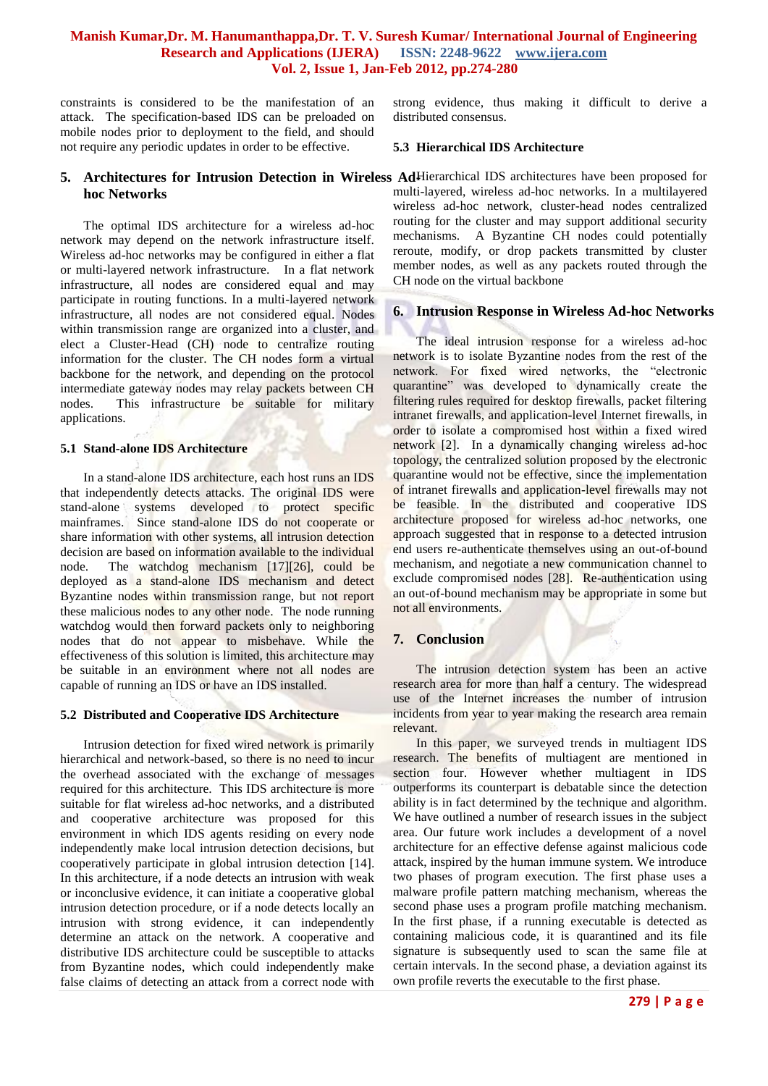# **Manish Kumar,Dr. M. Hanumanthappa,Dr. T. V. Suresh Kumar/ International Journal of Engineering Research and Applications (IJERA) Vol. 2, Issue 1, Jan-Feb 2012, pp.274-280**

constraints is considered to be the manifestation of an attack. The specification-based IDS can be preloaded on mobile nodes prior to deployment to the field, and should not require any periodic updates in order to be effective.

# **hoc Networks**

The optimal IDS architecture for a wireless ad-hoc network may depend on the network infrastructure itself. Wireless ad-hoc networks may be configured in either a flat or multi-layered network infrastructure. In a flat network infrastructure, all nodes are considered equal and may participate in routing functions. In a multi-layered network infrastructure, all nodes are not considered equal. Nodes within transmission range are organized into a cluster, and elect a Cluster-Head (CH) node to centralize routing information for the cluster. The CH nodes form a virtual backbone for the network, and depending on the protocol intermediate gateway nodes may relay packets between CH nodes. This infrastructure be suitable for military applications.

#### **5.1 Stand-alone IDS Architecture**

In a stand-alone IDS architecture, each host runs an IDS that independently detects attacks. The original IDS were stand-alone systems developed to protect specific mainframes. Since stand-alone IDS do not cooperate or share information with other systems, all intrusion detection decision are based on information available to the individual node. The watchdog mechanism [17][26], could be deployed as a stand-alone IDS mechanism and detect Byzantine nodes within transmission range, but not report these malicious nodes to any other node. The node running watchdog would then forward packets only to neighboring nodes that do not appear to misbehave. While the effectiveness of this solution is limited, this architecture may be suitable in an environment where not all nodes are capable of running an IDS or have an IDS installed.

#### **5.2 Distributed and Cooperative IDS Architecture**

Intrusion detection for fixed wired network is primarily hierarchical and network-based, so there is no need to incur the overhead associated with the exchange of messages required for this architecture. This IDS architecture is more suitable for flat wireless ad-hoc networks, and a distributed and cooperative architecture was proposed for this environment in which IDS agents residing on every node independently make local intrusion detection decisions, but cooperatively participate in global intrusion detection [14]. In this architecture, if a node detects an intrusion with weak or inconclusive evidence, it can initiate a cooperative global intrusion detection procedure, or if a node detects locally an intrusion with strong evidence, it can independently determine an attack on the network. A cooperative and distributive IDS architecture could be susceptible to attacks from Byzantine nodes, which could independently make false claims of detecting an attack from a correct node with

strong evidence, thus making it difficult to derive a distributed consensus.

#### **5.3 Hierarchical IDS Architecture**

5. Architectures for Intrusion Detection in Wireless AdHierarchical IDS architectures have been proposed for multi-layered, wireless ad-hoc networks. In a multilayered wireless ad-hoc network, cluster-head nodes centralized routing for the cluster and may support additional security mechanisms. A Byzantine CH nodes could potentially reroute, modify, or drop packets transmitted by cluster member nodes, as well as any packets routed through the CH node on the virtual backbone

#### **6. Intrusion Response in Wireless Ad-hoc Networks**

The ideal intrusion response for a wireless ad-hoc network is to isolate Byzantine nodes from the rest of the network. For fixed wired networks, the "electronic quarantine" was developed to dynamically create the filtering rules required for desktop firewalls, packet filtering intranet firewalls, and application-level Internet firewalls, in order to isolate a compromised host within a fixed wired network [2]. In a dynamically changing wireless ad-hoc topology, the centralized solution proposed by the electronic quarantine would not be effective, since the implementation of intranet firewalls and application-level firewalls may not be feasible. In the distributed and cooperative IDS architecture proposed for wireless ad-hoc networks, one approach suggested that in response to a detected intrusion end users re-authenticate themselves using an out-of-bound mechanism, and negotiate a new communication channel to exclude compromised nodes [28]. Re-authentication using an out-of-bound mechanism may be appropriate in some but not all environments.

# **7. Conclusion**

The intrusion detection system has been an active research area for more than half a century. The widespread use of the Internet increases the number of intrusion incidents from year to year making the research area remain relevant.

In this paper, we surveyed trends in multiagent IDS research. The benefits of multiagent are mentioned in section four. However whether multiagent in IDS outperforms its counterpart is debatable since the detection ability is in fact determined by the technique and algorithm. We have outlined a number of research issues in the subject area. Our future work includes a development of a novel architecture for an effective defense against malicious code attack, inspired by the human immune system. We introduce two phases of program execution. The first phase uses a malware profile pattern matching mechanism, whereas the second phase uses a program profile matching mechanism. In the first phase, if a running executable is detected as containing malicious code, it is quarantined and its file signature is subsequently used to scan the same file at certain intervals. In the second phase, a deviation against its own profile reverts the executable to the first phase.